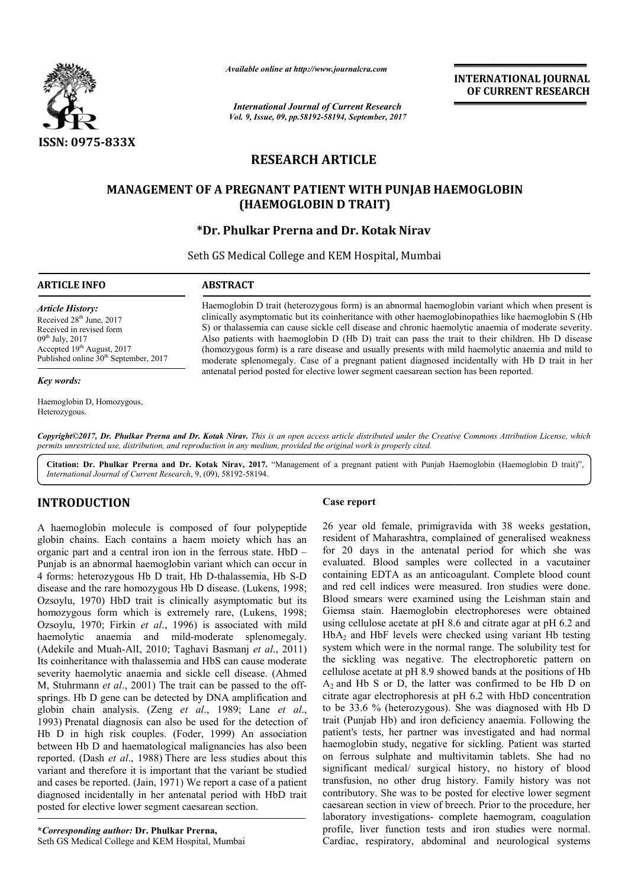

*Available online at http://www.journalcra.com*

*International Journal of Current Research Vol. 9, Issue, 09, pp.58192-58194, September, 2017* **INTERNATIONAL JOURNAL OF CURRENT RESEARCH**

# **RESEARCH ARTICLE**

# **MANAGEMENT OF A PREGNANT PATIENT WITH PUNJAB HAEMOGLOBIN MANAGEMENT OF HAEMOGLOBIN (HAEMOGLOBIN D TRAIT)**

# **\*Dr. Phulkar Prerna and Dr. Kotak Nirav**

Seth GS Medical College and KEM Hospital, Mumbai

### **ARTICLE INFO ABSTRACT**

*Article History:* Received 28<sup>th</sup> June, 2017 Received in revised form 09th July, 2017 Accepted 19<sup>th</sup> August, 2017 Published online 30<sup>th</sup> September, 2017

#### *Key words:*

Haemoglobin D, Homozygous, Heterozygous.

Haemoglobin D trait (heterozygous form) is an abnormal haemoglobin variant which when present is clinically asymptomatic but its coinheritance with other haemoglobinopathies like haemoglobin S (Hb S) or thalassemia can cause sickle cell disease and chronic haemolytic anaemia of moderate severity. Also patients with haemoglobin D (Hb D) trait can pass the trait to their children. Hb D disease (homozygous homozygous form) is a rare disease and usually presents with mild haemolytic anaemia and mild to moderate splenomegaly. Case of a pregnant patient diagnosed incidentally with Hb D trait in her (homozygous form) is a rare disease and usually presents with mild haemolytic anaemia moderate splenomegaly. Case of a pregnant patient diagnosed incidentally with Hb D antenatal period posted for elective lower segment ca

Copyright©2017, Dr. Phulkar Prerna and Dr. Kotak Nirav. This is an open access article distributed under the Creative Commons Attribution License, which permits unrestricted use, distribution, and reproduction in any medium, provided the original work is properly cited.

Citation: Dr. Phulkar Prerna and Dr. Kotak Nirav, 2017. "Management of a pregnant patient with Punjab Haemoglobin (Haemoglobin D trait)", *International Journal of Current Research*, 9, (09), 581 58192-58194.

# **INTRODUCTION**

A haemoglobin molecule is composed of four polypeptide globin chains. Each contains a haem moiety which has an organic part and a central iron ion in the ferrous state. HbD – Punjab is an abnormal haemoglobin variant which can occur in 4 forms: heterozygous Hb D trait, Hb D-thalassemia, Hb S-D disease and the rare homozygous Hb D disease. (Lukens, 1998; Ozsoylu, 1970) HbD trait is clinically asymptomatic but its homozygous form which is extremely rare, (Lukens, 1998; Ozsoylu, 1970; Firkin *et al*., 1996) is associated with mild haemolytic anaemia and mild-moderate splenomegaly. (Adekile and Muah-AlI, 2010; Taghavi Basmanj *et al*., 2011) Its coinheritance with thalassemia and HbS can cause moderate severity haemolytic anaemia and sickle cell disease. (Ahmed M, Stuhrmann *et al.*, 2001) The trait can be passed to the offsprings. Hb D gene can be detected by DNA amplification and globin chain analysis. (Zeng *et al.*, 1989; Lane *et al.*, 1993) Prenatal diagnosis can also be used for the detection of Hb D in high risk couples. (Foder, 1999) An association between Hb D and haematological malignancies has also been reported. (Dash *et al*., 1988) There are less studies about this variant and therefore it is important that the variant be studied and cases be reported. (Jain, 1971) We report a case of a patient diagnosed incidentally in her antenatal period with HbD trait posted for elective lower segment caesarean section. Case report<br>
four polypeptide 26 year old<br>
iety which has an resident of l<br>
rrows state. HbD – for 20 day<br>
which can occur in evaluated. I<br>
alassemia, Hb S-D containing E<br>
see. (Lukens, 1998; and red cell<br>
mptomatic but i

26 year old female, primigravida with 38 weeks gestation, resident of Maharashtra, complained of generalised weakness resident of Maharashtra, complained for 20 days in the antenatal period for which she was evaluated. Blood samples were collected in a vacutainer containing EDTA as an anticoagulant. Complete blood count and red cell indices were measured. Iron studies were done. Blood smears were examined using the Leishman stain and Giemsa stain. Haemoglobin electrophoreses were obtained using cellulose acetate at pH 8.6 and citrate agar at pH 6.2 and HbA2 and HbF levels were checked using variant Hb testing system which were in the normal range. The solubility test for the sickling was negative. The electrophoretic pattern on cellulose acetate at pH 8.9 showed bands at the positions of Hb  $A_2$  and Hb S or D, the latter was confirmed to be Hb D on  $A_2$  and Hb S or D, the latter was confirmed to be Hb D on citrate agar electrophoresis at pH 6.2 with HbD concentration to be 33.6 % (heterozygous). She was diagnosed with Hb D trait (Punjab Hb) and iron deficiency anaemia. Following the patient's tests, her partner was investigated and had normal haemoglobin study, negative for sickling. Patient was started on ferrous sulphate and multivitamin tablets. She had no significant medical/ surgical history, no history of blood transfusion, no other drug history. contributory. She was to be posted for elective lower segment contributory. She was to be posted for elective lower segment caesarean section in view of breech. Prior to the procedure, her laboratory investigations- complete haemogram, coagulation profile, liver function tests and iron studies were normal. Cardiac, respiratory, abdominal and neurological systems the antenatal period for which she was samples were collected in a vacutainer as an anticoagulant. Complete blood count es were measured. Iron studies were done. a stain. Haemoglobin electrophoreses were obtained cellulose acetate at pH 8.6 and citrate agar at pH 6.2 and and HbF levels were checked using variant Hb testing which were in the normal range. The solubility test for ckl had no nt medical/ surgical history, no history of blood<br>on, no other drug history. Family history was not **INTERNATIONAL JOURNAL**<br> **OF CURRENT RESEARCH**<br> **OF CURRENT RESEARCH**<br> **ITAV**<br> **ITAB HAEMOGLOBIN**<br> **ITAD**<br> **ITAD**<br> **ITAD**<br> **ITAD**<br> **ITAD**<br> **ITAD**<br> **ITAD**<br> **ITAD**<br> **ITAD**<br> **ITAD**<br> **ITAD**<br> **ITAD**<br> **ITAD**<br> **ITAD**<br> **ITAD**<br> **IT**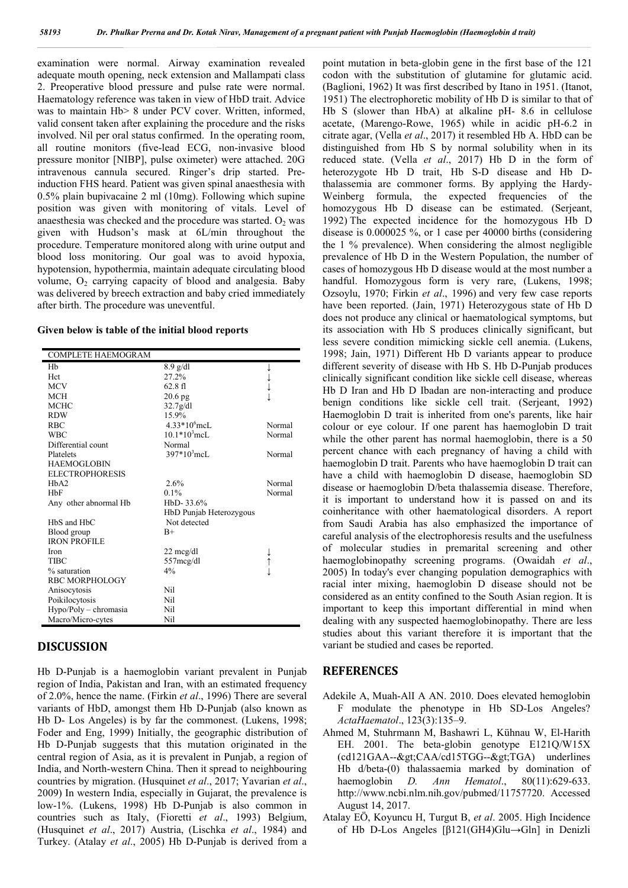examination were normal. Airway examination revealed adequate mouth opening, neck extension and Mallampati class 2. Preoperative blood pressure and pulse rate were normal. Haematology reference was taken in view of HbD trait. Advice was to maintain Hb> 8 under PCV cover. Written, informed, valid consent taken after explaining the procedure and the risks involved. Nil per oral status confirmed. In the operating room, all routine monitors (five-lead ECG, non-invasive blood pressure monitor [NIBP], pulse oximeter) were attached. 20G intravenous cannula secured. Ringer's drip started. Preinduction FHS heard. Patient was given spinal anaesthesia with 0.5% plain bupivacaine 2 ml (10mg). Following which supine position was given with monitoring of vitals. Level of anaesthesia was checked and the procedure was started.  $O<sub>2</sub>$  was given with Hudson's mask at 6L/min throughout the procedure. Temperature monitored along with urine output and blood loss monitoring. Our goal was to avoid hypoxia, hypotension, hypothermia, maintain adequate circulating blood volume,  $O_2$  carrying capacity of blood and analgesia. Baby was delivered by breech extraction and baby cried immediately after birth. The procedure was uneventful.

#### **Given below is table of the initial blood reports**

| Hh<br>$8.9$ g/dl                       |  |
|----------------------------------------|--|
|                                        |  |
| Hct<br>27.2%                           |  |
| <b>MCV</b><br>62.8f1                   |  |
| <b>MCH</b><br>20.6 <sub>pg</sub>       |  |
| <b>MCHC</b><br>32.7g/dl                |  |
| <b>RDW</b><br>15.9%                    |  |
| $4.33*106$ mcL<br><b>RBC</b><br>Normal |  |
| $10.1*103$ mcL<br><b>WBC</b><br>Normal |  |
| Differential count<br>Normal           |  |
| $397*103$ mcL<br>Normal<br>Platelets   |  |
| <b>HAEMOGLOBIN</b>                     |  |
| <b>ELECTROPHORESIS</b>                 |  |
| 2.6%<br>HbA2<br>Normal                 |  |
| Normal<br>HbF<br>$0.1\%$               |  |
| $HbD-33.6%$<br>Any other abnormal Hb   |  |
| HbD Punjab Heterozygous                |  |
| HbS and HbC<br>Not detected            |  |
| Blood group<br>$B+$                    |  |
| <b>IRON PROFILE</b>                    |  |
| Iron<br>22 meg/dl                      |  |
| TIBC<br>557mcg/dl<br>↑                 |  |
| % saturation<br>$4\%$                  |  |
| RBC MORPHOLOGY                         |  |
| Nil<br>Anisocytosis                    |  |
| Poikilocytosis<br>Nil                  |  |
| $Hypo/Poly$ – chromasia<br>Nil         |  |
| Macro/Micro-cytes<br>Nil               |  |

## **DISCUSSION**

Hb D-Punjab is a haemoglobin variant prevalent in Punjab region of India, Pakistan and Iran, with an estimated frequency of 2.0%, hence the name. (Firkin *et al*., 1996) There are several variants of HbD, amongst them Hb D-Punjab (also known as Hb D- Los Angeles) is by far the commonest. (Lukens, 1998; Foder and Eng, 1999) Initially, the geographic distribution of Hb D-Punjab suggests that this mutation originated in the central region of Asia, as it is prevalent in Punjab, a region of India, and North-western China. Then it spread to neighbouring countries by migration. (Husquinet *et al*., 2017; Yavarian *et al*., 2009) In western India, especially in Gujarat, the prevalence is low-1%. (Lukens, 1998) Hb D-Punjab is also common in countries such as Italy, (Fioretti *et al*., 1993) Belgium, (Husquinet *et al*., 2017) Austria, (Lischka *et al*., 1984) and Turkey. (Atalay *et al*., 2005) Hb D-Punjab is derived from a

point mutation in beta-globin gene in the first base of the 121 codon with the substitution of glutamine for glutamic acid. (Baglioni, 1962) It was first described by Itano in 1951. (Itanot, 1951) The electrophoretic mobility of Hb D is similar to that of Hb S (slower than HbA) at alkaline pH- 8.6 in cellulose acetate, (Marengo-Rowe, 1965) while in acidic pH-6.2 in citrate agar, (Vella *et al*., 2017) it resembled Hb A. HbD can be distinguished from Hb S by normal solubility when in its reduced state. (Vella *et al*., 2017) Hb D in the form of heterozygote Hb D trait, Hb S-D disease and Hb Dthalassemia are commoner forms. By applying the Hardy-Weinberg formula, the expected frequencies of the homozygous Hb D disease can be estimated. (Serjeant, 1992) The expected incidence for the homozygous Hb D disease is 0.000025 %, or 1 case per 40000 births (considering the 1 % prevalence). When considering the almost negligible prevalence of Hb D in the Western Population, the number of cases of homozygous Hb D disease would at the most number a handful. Homozygous form is very rare, (Lukens, 1998; Ozsoylu, 1970; Firkin *et al*., 1996) and very few case reports have been reported. (Jain, 1971) Heterozygous state of Hb D does not produce any clinical or haematological symptoms, but its association with Hb S produces clinically significant, but less severe condition mimicking sickle cell anemia. (Lukens, 1998; Jain, 1971) Different Hb D variants appear to produce different severity of disease with Hb S. Hb D-Punjab produces clinically significant condition like sickle cell disease, whereas Hb D Iran and Hb D Ibadan are non-interacting and produce benign conditions like sickle cell trait. (Serjeant, 1992) Haemoglobin D trait is inherited from one's parents, like hair colour or eye colour. If one parent has haemoglobin D trait while the other parent has normal haemoglobin, there is a 50 percent chance with each pregnancy of having a child with haemoglobin D trait. Parents who have haemoglobin D trait can have a child with haemoglobin D disease, haemoglobin SD disease or haemoglobin D/beta thalassemia disease. Therefore, it is important to understand how it is passed on and its coinheritance with other haematological disorders. A report from Saudi Arabia has also emphasized the importance of careful analysis of the electrophoresis results and the usefulness of molecular studies in premarital screening and other haemoglobinopathy screening programs. (Owaidah *et al*., 2005) In today's ever changing population demographics with racial inter mixing, haemoglobin D disease should not be considered as an entity confined to the South Asian region. It is important to keep this important differential in mind when dealing with any suspected haemoglobinopathy. There are less studies about this variant therefore it is important that the variant be studied and cases be reported.

### **REFERENCES**

- Adekile A, Muah-AlI A AN. 2010. Does elevated hemoglobin F modulate the phenotype in Hb SD-Los Angeles? *ActaHaematol*., 123(3):135–9.
- Ahmed M, Stuhrmann M, Bashawri L, Kühnau W, El-Harith EH. 2001. The beta-globin genotype E121Q/W15X  $(cd121GAA - \>gt; CAA/cd15TGG - \>gt; TGA)$  underlines Hb d/beta-(0) thalassaemia marked by domination of haemoglobin *D. Ann Hematol*., 80(11):629-633. http://www.ncbi.nlm.nih.gov/pubmed/11757720. Accessed August 14, 2017.
- Atalay EÖ, Koyuncu H, Turgut B, *et al*. 2005. High Incidence of Hb D-Los Angeles [β121(GH4)Glu→Gln] in Denizli